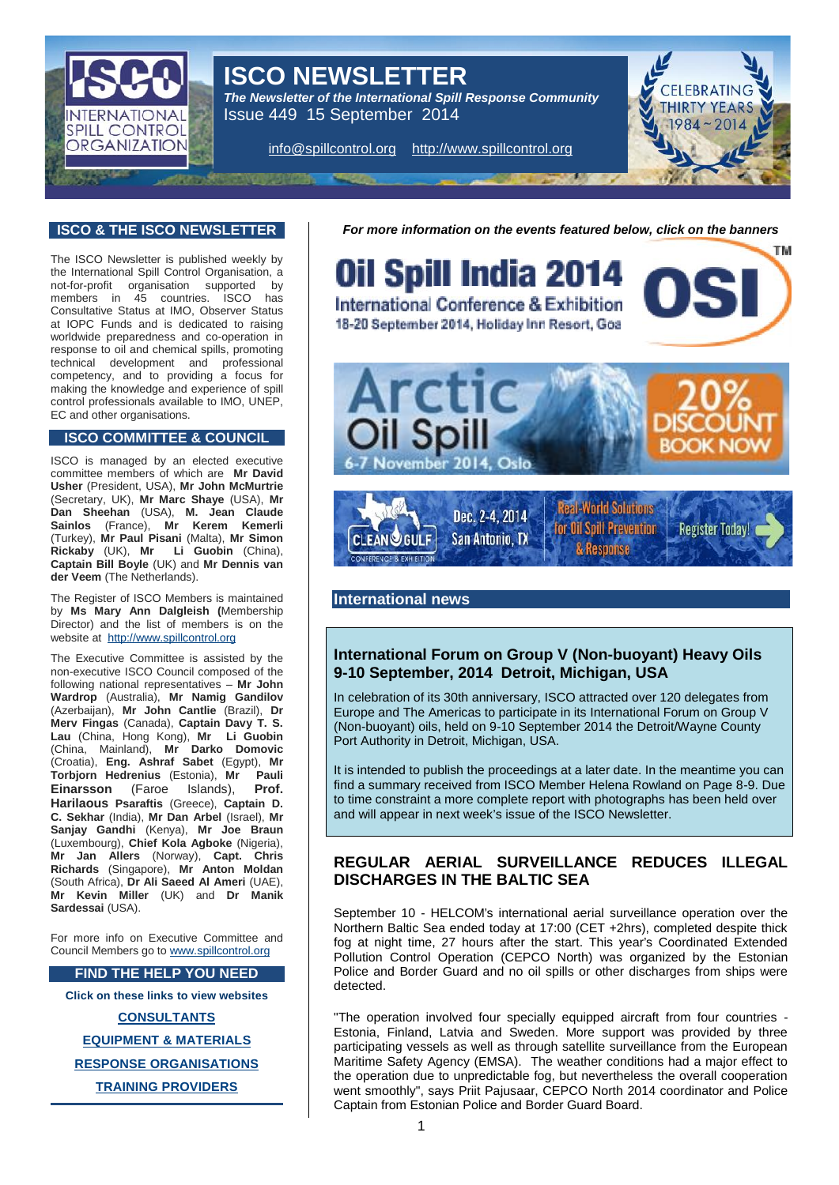# ISCO NEWSLETTER

The Newsletter of the International Spill Response Community Issue 449 15 September 2014

i[nfo@spillcontrol.org](mailto:info@spillcontrol.org) [http://www.spillcontrol.org](http://www.spillcontrol.org/)

## ISCO & THE ISCO NEWSLETTER

The ISCO Newsletter is published weekly by the International Spill Control Organisation, a not-for-profit organisation supported by members in 45 countries. ISCO has Consultative Status at IMO, Observer Status at IOPC Funds and is dedicated to raising worldwide preparedness and co-operation in response to oil and chemical spills, promoting technical development and professional competency, and to providing a focus for making the knowledge and experience of spill control professionals available to IMO, UNEP, EC and other organisations.

## ISCO COMMITTEE & COUNCIL

ISCO is managed by an elected executive committee members of which are Mr David Usher (President, USA), Mr John McMurtrie (Secretary, UK), Mr Marc Shaye (USA), Mr Dan Sheehan (USA), M. Jean Claude Sainlos (France), Mr Kerem Kemerli (Turkey), Mr Paul Pisani (Malta), Mr Simon Rickaby (UK), Mr Li Guobin (China), Captain Bill Boyle (UK) and Mr Dennis van der Veem (The Netherlands).

The Register of ISCO Members is maintained by Ms Mary Ann Dalgleish ( Membership Director) and the list of members is on the website at [http://www.spillcontrol.org](http://www.spillcontrol.org/)

The Executive Committee is assisted by the non-executive ISCO Council composed of the following national representatives € Mr John Wardrop (Australia), Mr Namig Gandilov (Azerbaijan), Mr John Cantlie (Brazil), Dr Merv Fingas (Canada), Captain Davy T. S. Lau (China, Hong Kong), Mr Li Guobin (China, Mainland), Mr Darko Domovic (Croatia), Eng. Ashraf Sabet (Egypt), Mr Torbjorn Hedrenius (Estonia), Mr Einarsson (Faroe Islands), Prof. Harilaous Psaraftis (Greece), Captain D. C. Sekhar (India), Mr Dan Arbel (Israel), Mr Sanjay Gandhi (Kenya), Mr Joe Braun (Luxembourg), Chief Kola Agboke (Nigeria), Mr Jan Allers (Norway), Capt. Chris Richards (Singapore), Mr Anton Moldan (South Africa), Dr Ali Saeed Al Ameri (UAE), Mr Kevin Miller (UK) and Dr Manik Sardessai (USA).

For more info on Executive Committee and Council Members go to [www.spillcontrol.org](http://www.spillcontrol.org/)

## FIND THE HELP YOU NEED

Click on these links to view websites

#### **[CONSULTANTS](http://www.spillcontrol.org/index.php/2013-02-05-12-36-12/consultants)**

[EQUIPMENT & MATERIAL](http://www.spillcontrol.org/index.php/2013-02-05-12-36-12/equipment-materials) S

RESPONSE [ORGANISATIONS](http://www.spillcontrol.org/index.php/2013-02-05-12-36-12/response-organizations)

[TRAINING PROVIDERS](http://www.spillcontrol.org/index.php/2013-02-05-12-36-12/training-providers)

For more information on the events featured [below, click on the banners](http://www.oilspillindia.org/)

#### International news

# International Forum on Group V (Non-buoyant) Heavy Oils 9-10 September, 2014 Detroit, Michigan, U SA

In celebration of its 30th anniversary, ISCO attracted over 120 delegates from Europe and The Americas to participate in its International Forum on Group V (Non-buoyant) oils, held on 9-10 September 2014 the Detroit/Wayne County Port Authority in Detroit, Michigan, USA.

It is intended to publish the proceedings at a later date. In the meantime you can find a summary received from ISCO Member Helena Rowland on Page 8-9. Due to time constraint a more complete report with photographs has been held over and will appear in next week•s issue of the ISCO Newsletter.

# REGULAR AERIAL SURVEILLANCE REDUCES ILLEGAL DISCHARGES IN THE BALTIC SEA

September 10 - HELCOM's international aerial surveillance operation over the Northern Baltic Sea ended today at 17:00 (CET +2hrs), completed despite thick fog at night time, 27 hours after the start. This year's Coordinated Extended Pollution Control Operation (CEPCO North) was organized by the Estonian Police and Border Guard and no oil spills or other discharges from ships were detected.

"The operation involved four specially equipped aircraft from four countries - Estonia, Finland, Latvia and Sweden. More support was provided by three participating vessels as well as through satellite surveillance from the European Maritime Safety Agency (EMSA). The weather conditions had a major effect to the operation due to unpredictable fog, but nevertheless the overall cooperation went smoothly", says Priit Pajusaar, CEPCO North 2014 coordinator and Police Captain from Estonian Police and Border Guard Board.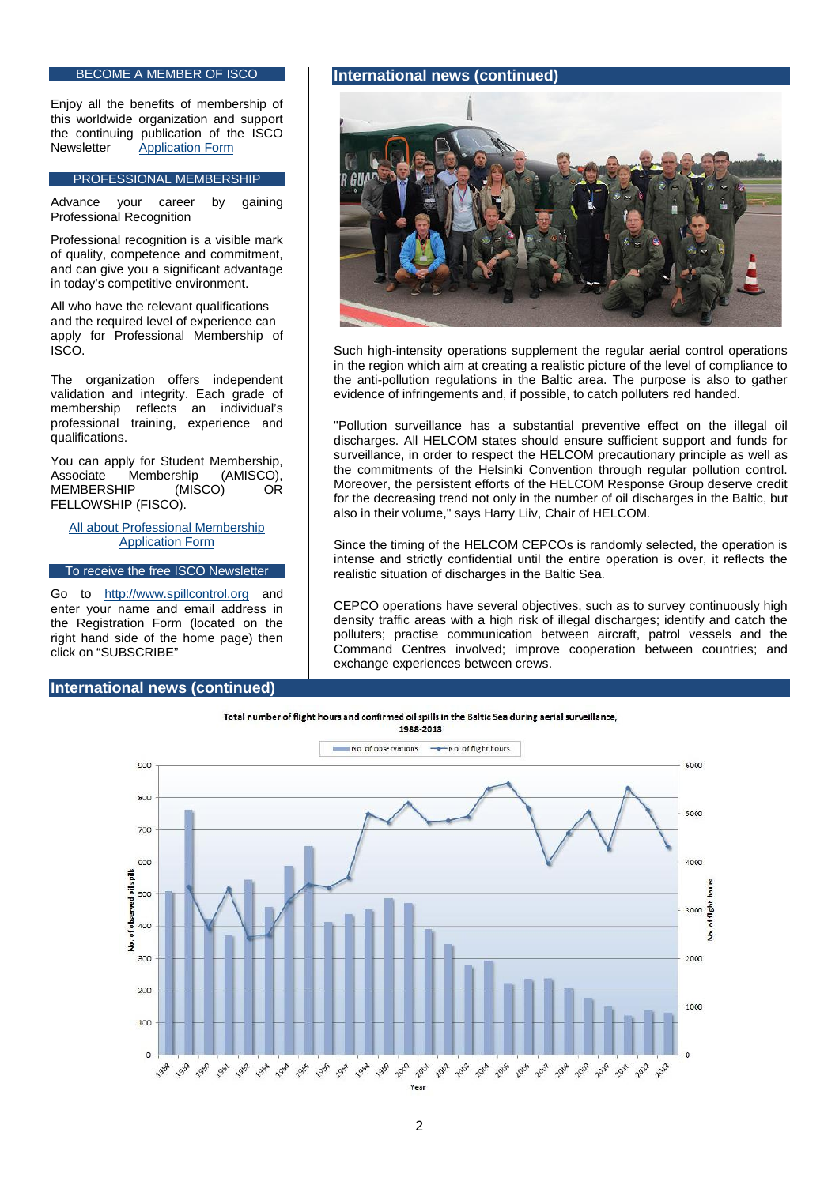## BECOME A MEMBER OF ISCO

Enjoy all the benefits of membership of this worldwide organization and support the continuing publication of the ISCO<br>Newsletter Application Form **[Application Form](http://www.spillcontrol.org/index.php/2013-02-05-10-50-47/membership-application)** 

## PROFESSIONAL MEMBERSHIP

Advance your career by gaining Professional Recognition

Professional recognition is a visible mark of quality, competence and commitment, and can give you a significant advantage in today•s competitive environment.

All who have the relevant qualifications and the required level of experience can apply for Professional Membership of ISCO.

The organization offers independent validation and integrity. Each grade of membership reflects an individual•s professional training, experience and qualifications.

You can apply for Student Membership,<br>Associate Membership (AMISCO), Associate Membership (ASSociate Membership (AMISCO) MEMBERSHIP (MISCO) OR FELLOWSHIP (FISCO).

[All about Professional Membership](http://www.spillcontrol.org/index.php/2013-02-05-10-50-47/professional/about-professional-membership) [Application Form](http://www.spillcontrol.org/index.php/2013-02-05-10-50-47/professional/application-form)

To receive the free ISCO Newsletter

Go to [http://www.spillcontrol.org](http://www.spillcontrol.org/) and enter your name and email address in the Registration Form (located on the right hand side of the home page) then click on ,SUBSCRIBEf

International news (continued)

## International news (continued)

Such high-intensity operations supplement the regular aerial control operations in the region which aim at creating a realistic picture of the level of compliance to the anti-pollution regulations in the Baltic area. The purpose is also to gather evidence of infringements and, if possible, to catch polluters red handed.

"Pollution surveillance has a substantial preventive effect on the illegal oil discharges. All HELCOM states should ensure sufficient support and funds for surveillance, in order to respect the HELCOM precautionary principle as well as the commitments of the Helsinki Convention through regular pollution control. Moreover, the persistent efforts of the HELCOM Response Group deserve credit for the decreasing trend not only in the number of oil discharges in the Baltic, but also in their volume," says Harry Liiv, Chair of HELCOM.

Since the timing of the HELCOM CEPCOs is randomly selected, the operation is intense and strictly confidential until the entire operation is over, it reflects the realistic situation of discharges in the Baltic Sea.

CEPCO operations have several objectives, such as to survey continuously high density traffic areas with a high risk of illegal discharges; identify and catch the polluters; practise communication between aircraft, patrol vessels and the Command Centres involved; improve cooperation between countries; and exchange experiences between crews.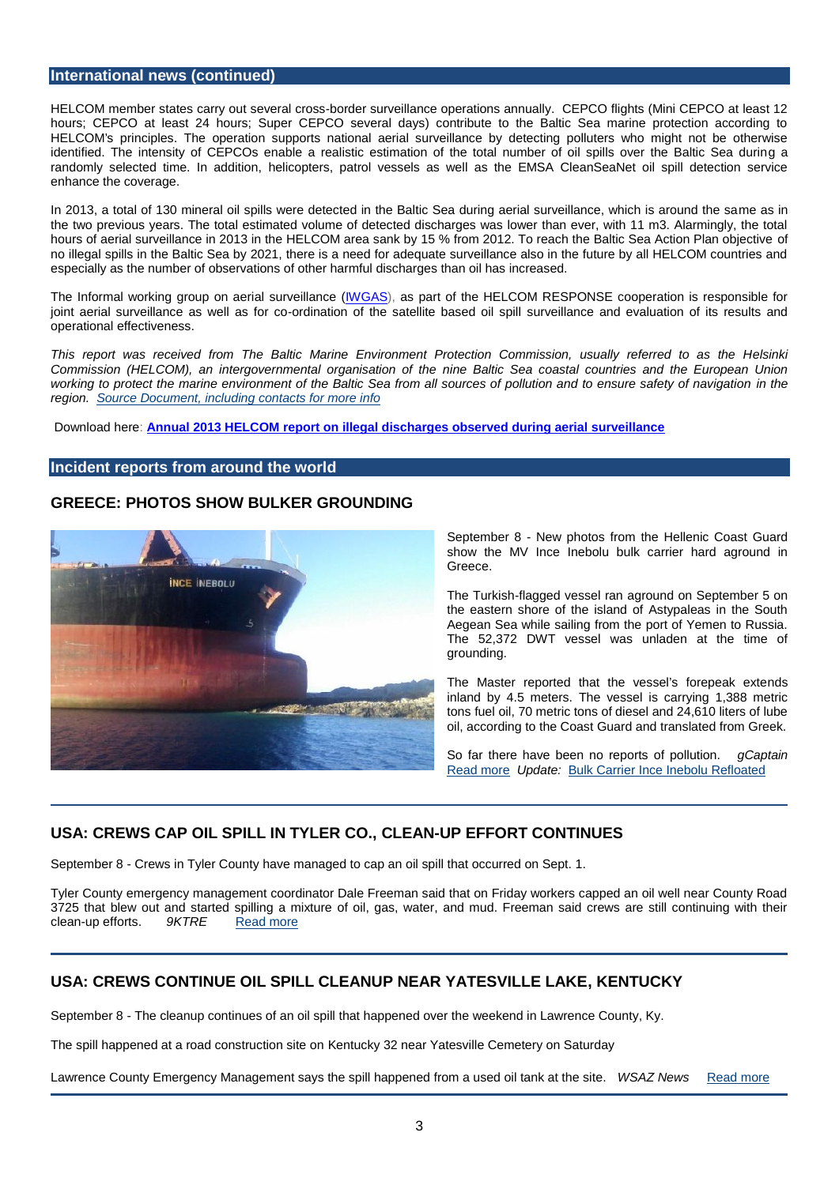## International news (continued)

HELCOM member states carry out several cross-border surveillance operations annually. CEPCO flights (Mini CEPCO at least 12 hours; CEPCO at least 24 hours; Super CEPCO several days) contribute to the Baltic Sea marine protection according to HELCOM's principles. The operation supports national aerial surveillance by detecting polluters who might not be otherwise identified. The intensity of CEPCOs enable a realistic estimation of the total number of oil spills over the Baltic Sea during a randomly selected time. In addition, helicopters, patrol vessels as well as the EMSA CleanSeaNet oil spill detection service enhance the coverage.

In 2013, a total of 130 mineral oil spills were detected in the Baltic Sea during aerial surveillance, which is around the same as in the two previous years. The total estimated volume of detected discharges was lower than ever, with 11 m3. Alarmingly, the total hours of aerial surveillance in 2013 in the HELCOM area sank by 15 % from 2012. To reach the Baltic Sea Action Plan objective of no illegal spills in the Baltic Sea by 2021, there is a need for adequate surveillance also in the future by all HELCOM countries and especially as the number of observations of other harmful discharges than oil has increased.

The Informal working group on aerial surveillance [\(IWGAS\)](http://www.helcom.fi/helcom-at-work/groups/response/iwgas), as part of the HELCOM RESPONSE cooperation is responsible for joint aerial surveillance as well as for co-ordination of the satellite based oil spill surveillance and evaluation of its results and operational effectiveness.

This report was received from The Baltic Marine Environment Protection Commission, usually referred to as the Helsinki Commission (HELCOM), an intergovernmental organisation of the nine Baltic Sea coastal countries and the European Union working to protect the marine environment of the Baltic Sea from all sources of pollution and to ensure safety of navigation in the region. [Source Document, including contacts for more info](http://helcom.fi/news/Pages/Regular-aerial-surveillance-reduces-illegal-discharges-in-the-Baltic-Sea.aspx)

Download here: [Annual 2013 HELCOM report on illegal discharges observed during aerial surveillance](http://www.helcom.fi/Lists/Publications/HELCOM report on Illegal discharges observed during aerial surveillance in 2013.pdf)

## Incident reports from around the world

# GREECE: PHOTOS SHOW BULKER GROUNDING

September 8 - New photos from the Hellenic Coast Guard show the MV Ince Inebolu bulk carrier hard aground in Greece.

The Turkish-flagged vessel ran aground on September 5 on the eastern shore of the island of Astypaleas in the South Aegean Sea while sailing from the port of Yemen to Russia. The 52,372 DWT vessel was unladen at the time of grounding.

The Master reported that the vessel•s forepeak extends inland by 4.5 meters. The vessel is carrying 1,388 metric tons fuel oil, 70 metric tons of diesel and 24,610 liters of lube oil, according to the Coast Guard and translated from Greek.

So far there have been no reports of pollution. gCaptain [Read more](http://gcaptain.com/photos-show-bulker-grounding-greece/) Update: [Bulk Carrier Ince Inebolu Refloated](http://gcaptain.com/bulk-carrier-ince-inebolu-refloated-greece/)

# USA: CREWS CAP OIL SPILL IN TYLER CO., CLEAN-UP EFFORT CONTINUES

September 8 - Crews in Tyler County have managed to cap an oil spill that occurred on Sept. 1.

Tyler County emergency management coordinator Dale Freeman said that on Friday workers capped an oil well near County Road 3725 that blew out and started spilling a mixture of oil, gas, water, and mud. Freeman said crews are still continuing with their clean-up efforts. 9KTRE Re[ad more](http://www.ktre.com/story/26479642/crews-cap-oil-spill-in-tyler-co-clean-up-effort-continues)

# USA: CREWS CONTINUE OIL SPILL CLEANUP NEAR YATESVILLE LAKE , KENTUCKY

September 8 - The cleanup continues of an oil spill that happened over the weekend in Lawrence County, Ky.

The spill happened at a road construction site on Kentucky 32 near Yatesville Cemetery on Saturday

Lawrence County Emergency Management says the spill happened from a used oil tank at the site. WSAZ News R[ead more](http://www.wsaz.com/news/headlines/Crews-Continue-Oil-Spill-Cleanup-Near-Yatesville-Lake-274364041.html)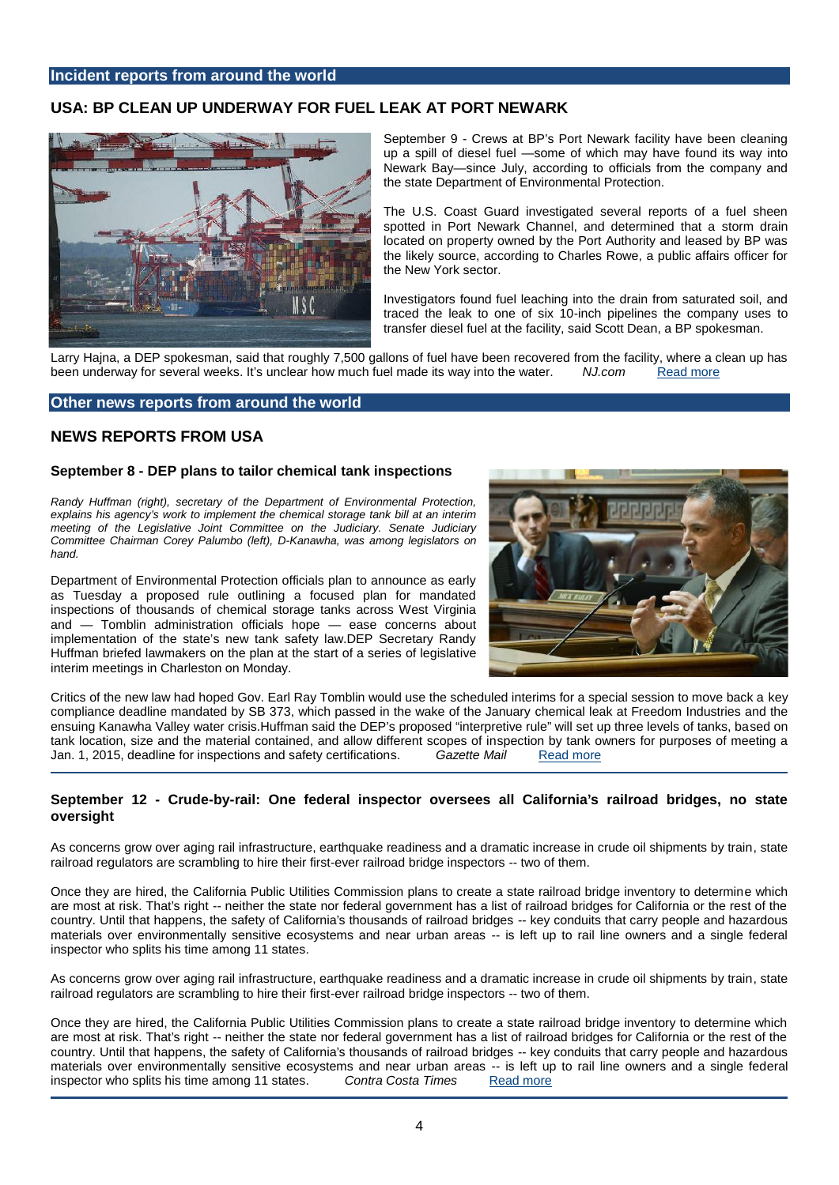# USA: BP CLEAN UP UNDERWAY FOR FUEL LEAK AT PORT NEWARK

September 9 - Crews at BP•s Port Newark facility have been cleaning up a spill of diesel fuel " some of which may have found its way into Newark Bay, since July, according to officials from the company and the state Department of Environmental Protection.

The U.S. Coast Guard investigated several reports of a fuel sheen spotted in Port Newark Channel, and determined that a storm drain located on property owned by the Port Authority and leased by BP was the likely source, according to Charles Rowe, a public affairs officer for the New York sector.

Investigators found fuel leaching into the drain from saturated soil, and traced the leak to one of six 10-inch pipelines the company uses to transfer diesel fuel at the facility, said Scott Dean, a BP spokesman.

Larry Hajna, a DEP spokesman, said that roughly 7,500 gallons of fuel have been recovered from the facility, where a clean up has been underway for several weeks. It is unclear how much fuel made its way into the water. NJ.com Rea[d more](http://www.nj.com/news/index.ssf/2014/09/bp_clean_up_underway_for_fuel_leak_at_port_newark.html)

## Other news reports from around the world

## NEWS REPORTS FROM USA

September 8 - DEP plans to tailor chemical tank inspections

Randy Huffman (right), secretary of the Department of Environmental Protection, explains his agency€s work to implement the chemical storage tank bill at an interim meeting of the Legislative Joint Committee on the Judiciary. Senate Judiciary Committee Chairman Corey Palumbo (left), D-Kanawha, was among legislators on hand.

Department of Environmental Protection officials plan to announce as early as Tuesday a proposed rule outlining a focused plan for mandated inspections of thousands of chemical storage tanks across West Virginia and " Tomblin administration officials hope " ease concerns about implementation of the state•s new tank safety law.DEP Secretary Randy Huffman briefed lawmakers on the plan at the start of a series of legislative interim meetings in Charleston on Monday.

Critics of the new law had hoped Gov. Earl Ray Tomblin would use the scheduled interims for a special session to move back a key compliance deadline mandated by SB 373, which passed in the wake of the January chemical leak at Freedom Industries and the ensuing Kanawha Valley water crisis.Huffman said the DEP•s proposed interpretive rulef will set up three levels of tanks, based on tank location, size and the material contained, and allow different scopes of inspection by tank owners for purposes of meeting a Jan. 1, 2015, deadline for inspections and safety certifications. Gazette Mail Re[ad more](http://www.wvgazette.com/article/20140908/GZ01/140909330)

September 12 - Crude -by-rail: One federal inspector oversees all California's railroad bridges, no state oversight

As concerns grow over aging rail infrastructure, earthquake readiness and a dramatic increase in crude oil shipments by train, state railroad regulators are scrambling to hire their first-ever railroad bridge inspectors -- two of them.

Once they are hired, the California Public Utilities Commission plans to create a state railroad bridge inventory to determine which are most at risk. That's right -- neither the state nor federal government has a list of railroad bridges for California or the rest of the country. Until that happens, the safety of California's thousands of railroad bridges -- key conduits that carry people and hazardous materials over environmentally sensitive ecosystems and near urban areas -- is left up to rail line owners and a single federal inspector who splits his time among 11 states.

As concerns grow over aging rail infrastructure, earthquake readiness and a dramatic increase in crude oil shipments by train, state railroad regulators are scrambling to hire their first-ever railroad bridge inspectors -- two of them.

Once they are hired, the California Public Utilities Commission plans to create a state railroad bridge inventory to determine which are most at risk. That's right -- neither the state nor federal government has a list of railroad bridges for California or the rest of the country. Until that happens, the safety of California's thousands of railroad bridges -- key conduits that carry people and hazardous materials over environmentally sensitive ecosystems and near urban areas -- is left up to rail line owners and a single federal inspector who splits his time among 11 states. Contra Costa Times Read more inspector who splits his time among 11 states. Contra Costa Times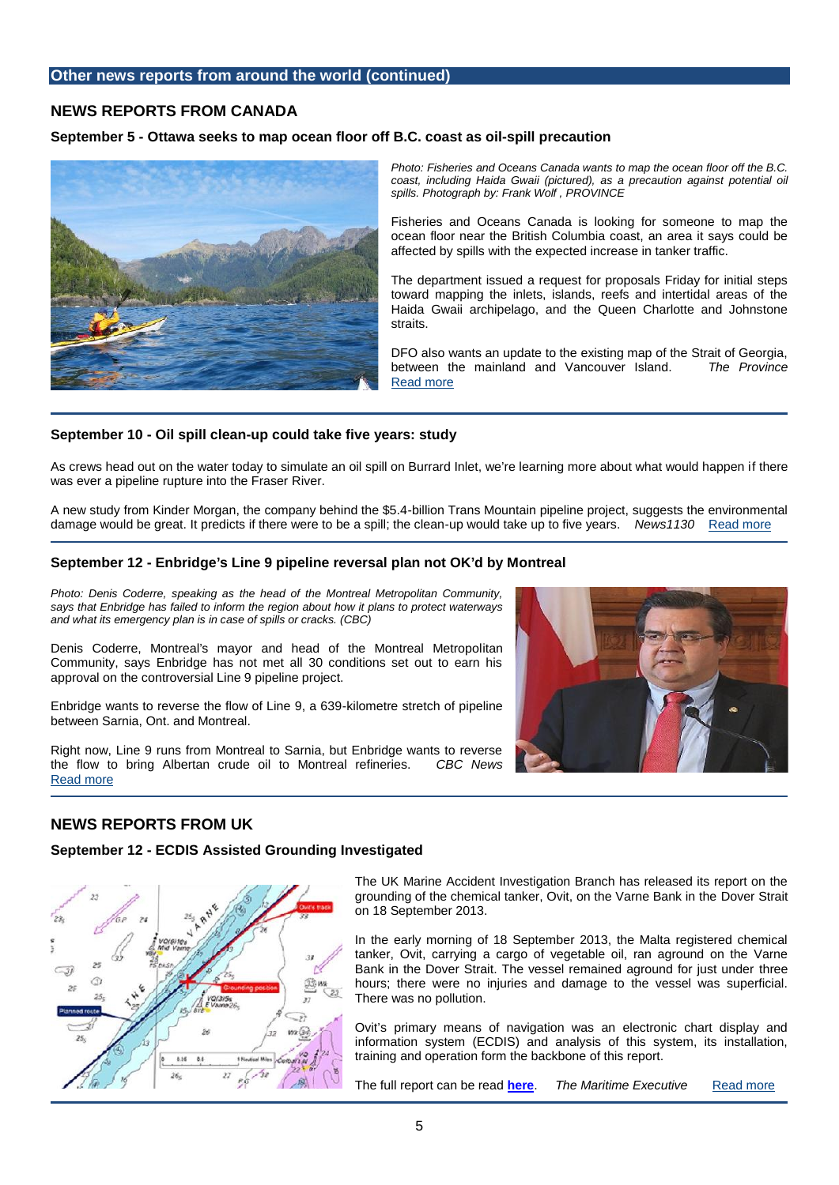# NEWS REPORTS FROM CANADA

September 5 - Ottawa seeks to map ocean floor off B.C. coast as oil - spill precaution

Photo: Fisheries and Oceans Canada wants to map the ocean floor off the B.C. coast, including Haida Gwaii (pictured), as a precaution against potential oil spills. Photograph by: Frank Wolf , PROVINCE

Fisheries and Oceans Canada is looking for someone to map the ocean floor near the British Columbia coast, an area it says could be affected by spills with the expected increase in tanker traffic.

The department issued a request for proposals Friday for initial steps toward mapping the inlets, islands, reefs and intertidal areas of the Haida Gwaii archipelago, and the Queen Charlotte and Johnstone straits.

DFO also wants an update to the existing map of the Strait of Georgia,<br>between, the mainland and Vancouver Island. The Province between the mainland and Vancouver Island. [Read more](http://www.theprovince.com/Ottawa+seeks+ocean+floor+coast+spill+precaution/10178389/story.html)

September 10 - Oil spill clean -up could take five years: study

As crews head out on the water today to simulate an oil spill on Burrard Inlet, we•re learning more about what would happen if there was ever a pipeline rupture into the Fraser River.

A new study from Kinder Morgan, the company behind the \$5.4-billion Trans Mountain pipeline project, suggests the environmental damage would be great. It predicts if there were to be a spill; the clean-up would take up to five years. News1130 R[ead more](http://www.news1130.com/2014/09/10/oil-spill-clean-up-could-take-five-years-study/)

#### September 12 - Enbridge's Line 9 pipeline reversal plan not OK'd by Montreal

Photo: Denis Coderre, speaking as the head of the Montreal Metropolitan Community, says that Enbridge has failed to inform the region about how it plans to protect waterways and what its emergency plan is in case of spills or cracks. (CBC)

Denis Coderre, Montreal's mayor and head of the Montreal Metropolitan Community, says Enbridge has not met all 30 conditions set out to earn his approval on the controversial Line 9 pipeline project.

Enbridge wants to reverse the flow of Line 9, a 639-kilometre stretch of pipeline between Sarnia, Ont. and Montreal.

Right now, Line 9 runs from Montreal to Sarnia, but Enbridge wants to reverse the flow to bring Albertan crude oil to Montreal refineries. CBC News [Read more](http://www.cbc.ca/news/canada/montreal/enbridge-s-line-9-pipeline-reversal-plan-not-ok-d-by-montreal-1.2764660)

# NEWS REPORTS FROM UK

September 12 - ECDIS Assisted Grounding Investigated

The UK Marine Accident Investigation Branch has released its report on the grounding of the chemical tanker, Ovit, on the Varne Bank in the Dover Strait on 18 September 2013.

In the early morning of 18 September 2013, the Malta registered chemical tanker, Ovit, carrying a cargo of vegetable oil, ran aground on the Varne Bank in the Dover Strait. The vessel remained aground for just under three hours; there were no injuries and damage to the vessel was superficial. There was no pollution.

Ovit•s primary means of navigation was an electronic chart display and information system (ECDIS) and analysis of this system, its installation, training and operation form the backbone of this report.

[The full report can be read](http://www.maritime-executive.com/article/ECDIS-Assisted-Grounding-Investigated-2014-09-12) [here.](http://www.maib.gov.uk/cms_resources.cfm?file=/OvitReport.pdf) The Maritime Executive R[ead more](http://www.maritime-executive.com/article/ECDIS-Assisted-Grounding-Investigated-2014-09-12)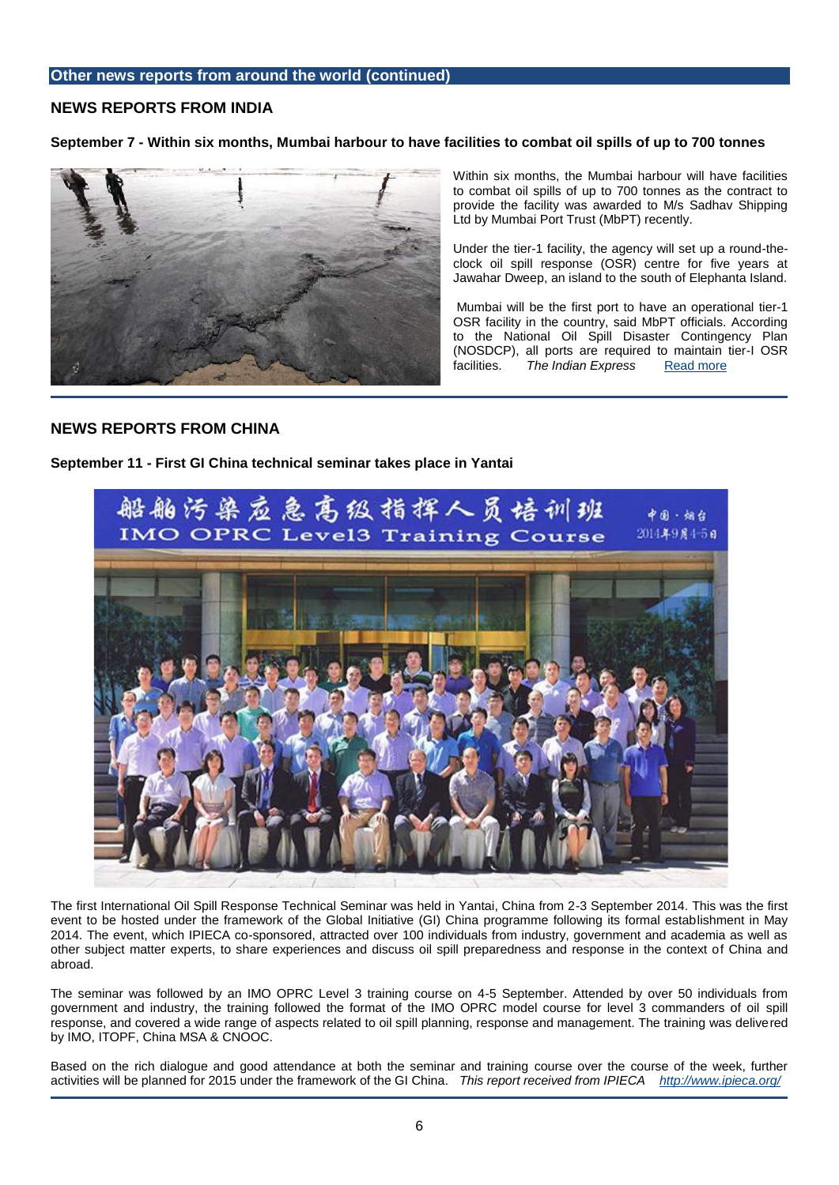# NEWS REPORTS FROM INDIA

September 7 - Within six months, Mumbai harbour to have facilities to combat o il spills of up to 700 tonnes

Within six months, the Mumbai harbour will have facilities to combat oil spills of up to 700 tonnes as the contract to provide the facility was awarded to M/s Sadhav Shipping Ltd by Mumbai Port Trust (MbPT) recently.

Under the tier-1 facility, the agency will set up a round-the clock oil spill response (OSR) centre for five years at Jawahar Dweep, an island to the south of Elephanta Island.

Mumbai will be the first port to have an operational tier-1 OSR facility in the country, said MbPT officials. According to the National Oil Spill Disaster Contingency Plan (NOSDCP), all ports are required to maintain tier-I OSR facilities. The Indian Express R[ead more](http://indianexpress.com/article/cities/mumbai/within-six-months-mumbai-harbour-to-have-facilities-to-combat-oil-spills-of-up-to-700-tonnes/)

# NEWS REPORTS FROM CHINA

September 11 - First GI China technical seminar takes place in Yantai

The first International Oil Spill Response Technical Seminar was held in Yantai, China from 2-3 September 2014. This was the first event to be hosted under the framework of the Global Initiative (GI) China programme following its formal establishment in May 2014. The event, which IPIECA co-sponsored, attracted over 100 individuals from industry, government and academia as well as other subject matter experts, to share experiences and discuss oil spill preparedness and response in the context of China and abroad.

The seminar was followed by an IMO OPRC Level 3 training course on 4-5 September. Attended by over 50 individuals from government and industry, the training followed the format of the IMO OPRC model course for level 3 commanders of oil spill response, and covered a wide range of aspects related to oil spill planning, response and management. The training was delivered by IMO, ITOPF, China MSA & CNOOC.

Based on the rich dialogue and good attendance at both the seminar and training course over the course of the week, further activities will be planned for 2015 under the framework of the GI China. This report received from IPIECA <http://www.ipieca.org/>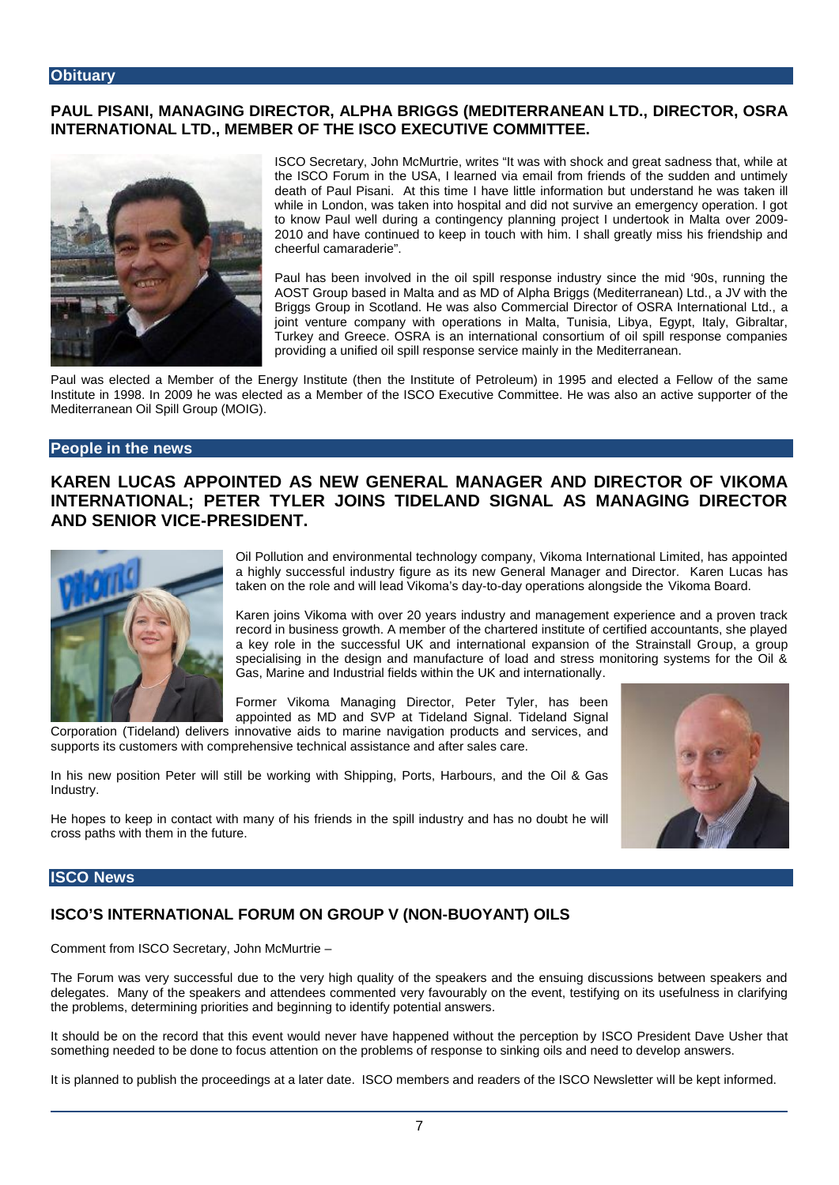# PAUL PISANI, MANAGING DIRECTOR, ALPHA BRIGGS (MEDITERRANEAN LTD., DIRECTOR, OSRA INTERNATIONAL LTD., MEMBER OF THE ISCO EXECUTIVE COMMITTEE.

ISCO Secretary, John McMurtrie, writes , It was with shock and great sadness that, while at the ISCO Forum in the USA, I learned via email from friends of the sudden and untimely death of Paul Pisani. At this time I have little information but understand he was taken ill while in London, was taken into hospital and did not survive an emergency operation. I got to know Paul well during a contingency planning project I undertook in Malta over 2009- 2010 and have continued to keep in touch with him. I shall greatly miss his friendship and cheerful camaraderieƒ.

Paul has been involved in the oil spill response industry since the mid ... 90srunning the AOST Group based in Malta and as MD of Alpha Briggs (Mediterranean) Ltd., a JV with the Briggs Group in Scotland. He was also Commercial Director of OSRA International Ltd., a joint venture company with operations in Malta, Tunisia, Libya, Egypt, Italy, Gibraltar, Turkey and Greece. OSRA is an international consortium of oil spill response companies providing a unified oil spill response service mainly in the Mediterranean.

Paul was elected a Member of the Energy Institute (then the Institute of Petroleum) in 1995 and elected a Fellow of the same Institute in 1998. In 2009 he was elected as a Member of the ISCO Executive Committee. He was also an active supporter of the Mediterranean Oil Spill Group (MOIG).

## People in the news

KAREN LUCAS APPOINTED AS NEW GENERAL MANAGER AND DIRE CTOR OF VIKOMA INTERNATIONAL; PETER TYLER JOINS TIDELAND SIGNAL AS MANAGING DIRECTOR AND SENIOR VICE-PRESIDENT.

> Oil Pollution and environmental technology company, Vikoma International Limited, has appointed a highly successful industry figure as its new General Manager and Director. Karen Lucas has taken on the role and will lead Vikoma•s day-to-day operations alongside the Vikoma Board.

> Karen joins Vikoma with over 20 years industry and management experience and a proven track record in business growth. A member of the chartered institute of certified accountants, she played a key role in the successful UK and international expansion of the Strainstall Group, a group specialising in the design and manufacture of load and stress monitoring systems for the Oil & Gas, Marine and Industrial fields within the UK and internationally.

Former Vikoma Managing Director, Peter Tyler, has been appointed as MD and SVP at Tideland Signal. Tideland Signal

Corporation (Tideland) delivers innovative aids to marine navigation products and services, and supports its customers with comprehensive technical assistance and after sales care.

In his new position Peter will still be working with Shipping, Ports, Harbours, and the Oil & Gas Industry.

He hopes to keep in contact with many of his friends in the spill industry and has no doubt he will cross paths with them in the future.

## ISCO News

# ISCO€S INTERNATIONAL FORUM ONGROUP V (NON-BUOYANT) OILS

Comment from ISCO Secretary, John McMurtrie €

The Forum was very successful due to the very high quality of the speakers and the ensuing discussions between speakers and delegates. Many of the speakers and attendees commented very favourably on the event, testifying on its usefulness in clarifying the problems, determining priorities and beginning to identify potential answers.

It should be on the record that this event would never have happened without the perception by ISCO President Dave Usher that something needed to be done to focus attention on the problems of response to sinking oils and need to develop answers.

It is planned to publish the proceedings at a later date. ISCO members and readers of the ISCO Newsletter will be kept informed.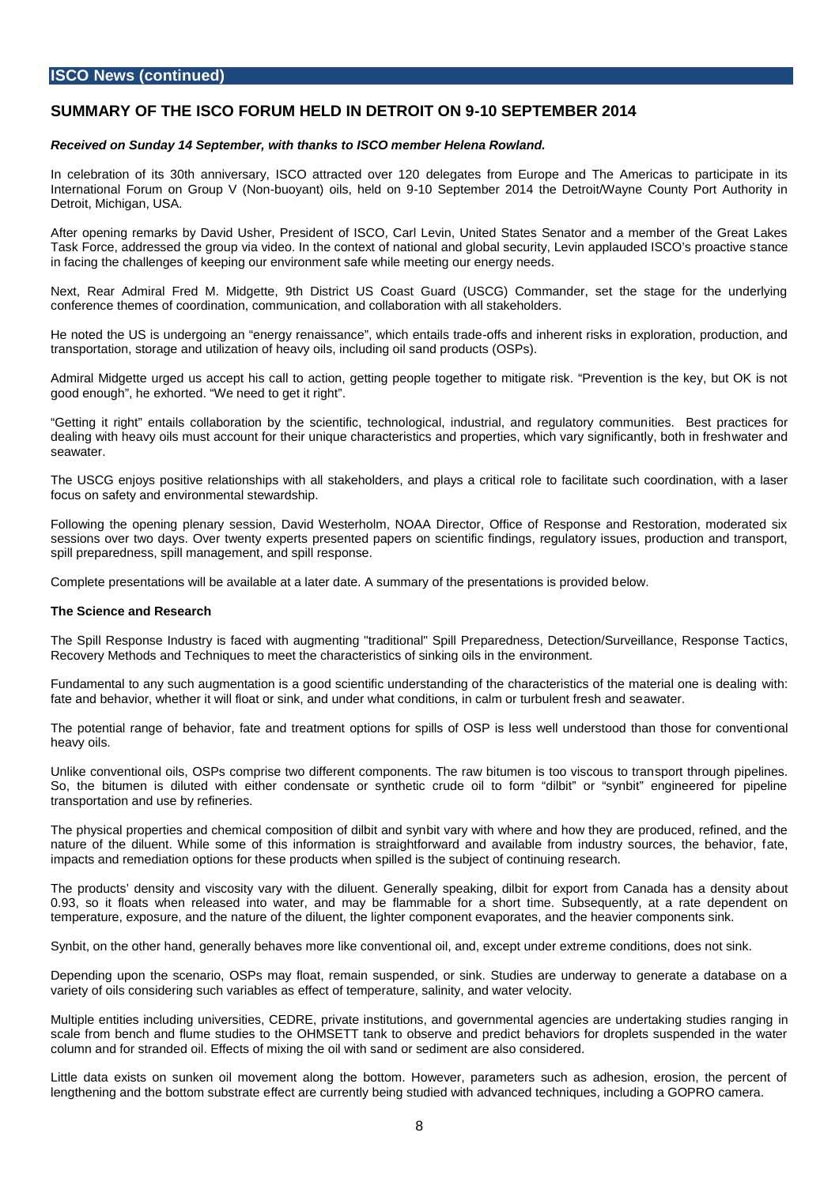## **ISCO News (continued)**

## **SUMMARY OF THE ISCO FORUM HELD IN DETROIT ON 9-10 SEPTEMBER 2014**

#### *Received on Sunday 14 September, with thanks to ISCO member Helena Rowland.*

In celebration of its 30th anniversary, ISCO attracted over 120 delegates from Europe and The Americas to participate in its International Forum on Group V (Non-buoyant) oils, held on 9-10 September 2014 the Detroit/Wayne County Port Authority in Detroit, Michigan, USA.

After opening remarks by David Usher, President of ISCO, Carl Levin, United States Senator and a member of the Great Lakes Task Force, addressed the group via video. In the context of national and global security, Levin applauded ISCO's proactive stance in facing the challenges of keeping our environment safe while meeting our energy needs.

Next, Rear Admiral Fred M. Midgette, 9th District US Coast Guard (USCG) Commander, set the stage for the underlying conference themes of coordination, communication, and collaboration with all stakeholders.

He noted the US is undergoing an "energy renaissance", which entails trade-offs and inherent risks in exploration, production, and transportation, storage and utilization of heavy oils, including oil sand products (OSPs).

Admiral Midgette urged us accept his call to action, getting people together to mitigate risk. "Prevention is the key, but OK is not good enough", he exhorted. "We need to get it right".

"Getting it right" entails collaboration by the scientific, technological, industrial, and regulatory communities. Best practices for dealing with heavy oils must account for their unique characteristics and properties, which vary significantly, both in freshwater and seawater.

The USCG enjoys positive relationships with all stakeholders, and plays a critical role to facilitate such coordination, with a laser focus on safety and environmental stewardship.

Following the opening plenary session, David Westerholm, NOAA Director, Office of Response and Restoration, moderated six sessions over two days. Over twenty experts presented papers on scientific findings, regulatory issues, production and transport, spill preparedness, spill management, and spill response.

Complete presentations will be available at a later date. A summary of the presentations is provided below.

#### **The Science and Research**

The Spill Response Industry is faced with augmenting "traditional" Spill Preparedness, Detection/Surveillance, Response Tactics, Recovery Methods and Techniques to meet the characteristics of sinking oils in the environment.

Fundamental to any such augmentation is a good scientific understanding of the characteristics of the material one is dealing with: fate and behavior, whether it will float or sink, and under what conditions, in calm or turbulent fresh and seawater.

The potential range of behavior, fate and treatment options for spills of OSP is less well understood than those for conventional heavy oils.

Unlike conventional oils, OSPs comprise two different components. The raw bitumen is too viscous to transport through pipelines. So, the bitumen is diluted with either condensate or synthetic crude oil to form "dilbit" or "synbit" engineered for pipeline transportation and use by refineries.

The physical properties and chemical composition of dilbit and synbit vary with where and how they are produced, refined, and the nature of the diluent. While some of this information is straightforward and available from industry sources, the behavior, fate, impacts and remediation options for these products when spilled is the subject of continuing research.

The products' density and viscosity vary with the diluent. Generally speaking, dilbit for export from Canada has a density about 0.93, so it floats when released into water, and may be flammable for a short time. Subsequently, at a rate dependent on temperature, exposure, and the nature of the diluent, the lighter component evaporates, and the heavier components sink.

Synbit, on the other hand, generally behaves more like conventional oil, and, except under extreme conditions, does not sink.

Depending upon the scenario, OSPs may float, remain suspended, or sink. Studies are underway to generate a database on a variety of oils considering such variables as effect of temperature, salinity, and water velocity.

Multiple entities including universities, CEDRE, private institutions, and governmental agencies are undertaking studies ranging in scale from bench and flume studies to the OHMSETT tank to observe and predict behaviors for droplets suspended in the water column and for stranded oil. Effects of mixing the oil with sand or sediment are also considered.

Little data exists on sunken oil movement along the bottom. However, parameters such as adhesion, erosion, the percent of lengthening and the bottom substrate effect are currently being studied with advanced techniques, including a GOPRO camera.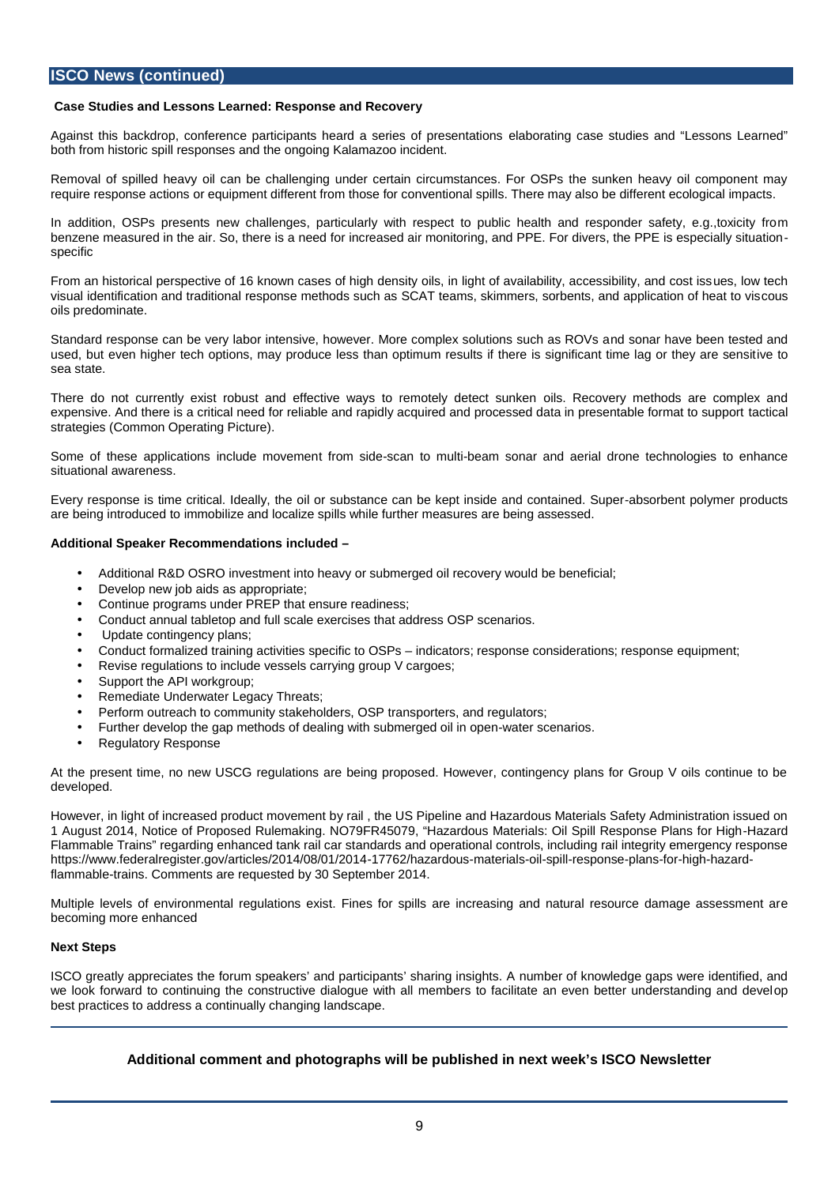# **ISCO News (continued)**

## **Case Studies and Lessons Learned: Response and Recovery**

Against this backdrop, conference participants heard a series of presentations elaborating case studies and "Lessons Learned" both from historic spill responses and the ongoing Kalamazoo incident.

Removal of spilled heavy oil can be challenging under certain circumstances. For OSPs the sunken heavy oil component may require response actions or equipment different from those for conventional spills. There may also be different ecological impacts.

In addition, OSPs presents new challenges, particularly with respect to public health and responder safety, e.g.,toxicity from benzene measured in the air. So, there is a need for increased air monitoring, and PPE. For divers, the PPE is especially situation specific

From an historical perspective of 16 known cases of high density oils, in light of availability, accessibility, and cost issues, low tech visual identification and traditional response methods such as SCAT teams, skimmers, sorbents, and application of heat to viscous oils predominate.

Standard response can be very labor intensive, however. More complex solutions such as ROVs and sonar have been tested and used, but even higher tech options, may produce less than optimum results if there is significant time lag or they are sensitive to sea state.

There do not currently exist robust and effective ways to remotely detect sunken oils. Recovery methods are complex and expensive. And there is a critical need for reliable and rapidly acquired and processed data in presentable format to support tactical strategies (Common Operating Picture).

Some of these applications include movement from side-scan to multi-beam sonar and aerial drone technologies to enhance situational awareness.

Every response is time critical. Ideally, the oil or substance can be kept inside and contained. Super-absorbent polymer products are being introduced to immobilize and localize spills while further measures are being assessed.

#### **Additional Speaker Recommendations included –**

- Additional R&D OSRO investment into heavy or submerged oil recovery would be beneficial;
- Develop new job aids as appropriate;
- Continue programs under PREP that ensure readiness;
- Conduct annual tabletop and full scale exercises that address OSP scenarios.
- Update contingency plans;
- Conduct formalized training activities specific to OSPs indicators; response considerations; response equipment;
- Revise regulations to include vessels carrying group V cargoes;
- Support the API workgroup;
- Remediate Underwater Legacy Threats;
- Perform outreach to community stakeholders, OSP transporters, and regulators;
- Further develop the gap methods of dealing with submerged oil in open-water scenarios.
- Regulatory Response

At the present time, no new USCG regulations are being proposed. However, contingency plans for Group V oils continue to be developed.

However, in light of increased product movement by rail , the US Pipeline and Hazardous Materials Safety Administration issued on 1 August 2014, Notice of Proposed Rulemaking. NO79FR45079, "Hazardous Materials: Oil Spill Response Plans for High-Hazard Flammable Trains" regarding enhanced tank rail car standards and operational controls, including rail integrity emergency response https://www.federalregister.gov/articles/2014/08/01/2014-17762/hazardous-materials-oil-spill-response-plans-for-high-hazardflammable-trains. Comments are requested by 30 September 2014.

Multiple levels of environmental regulations exist. Fines for spills are increasing and natural resource damage assessment are becoming more enhanced

#### **Next Steps**

ISCO greatly appreciates the forum speakers' and participants' sharing insights. A number of knowledge gaps were identified, and we look forward to continuing the constructive dialogue with all members to facilitate an even better understanding and develop best practices to address a continually changing landscape.

## **Additional comment and photographs will be published in next week's ISCO Newsletter**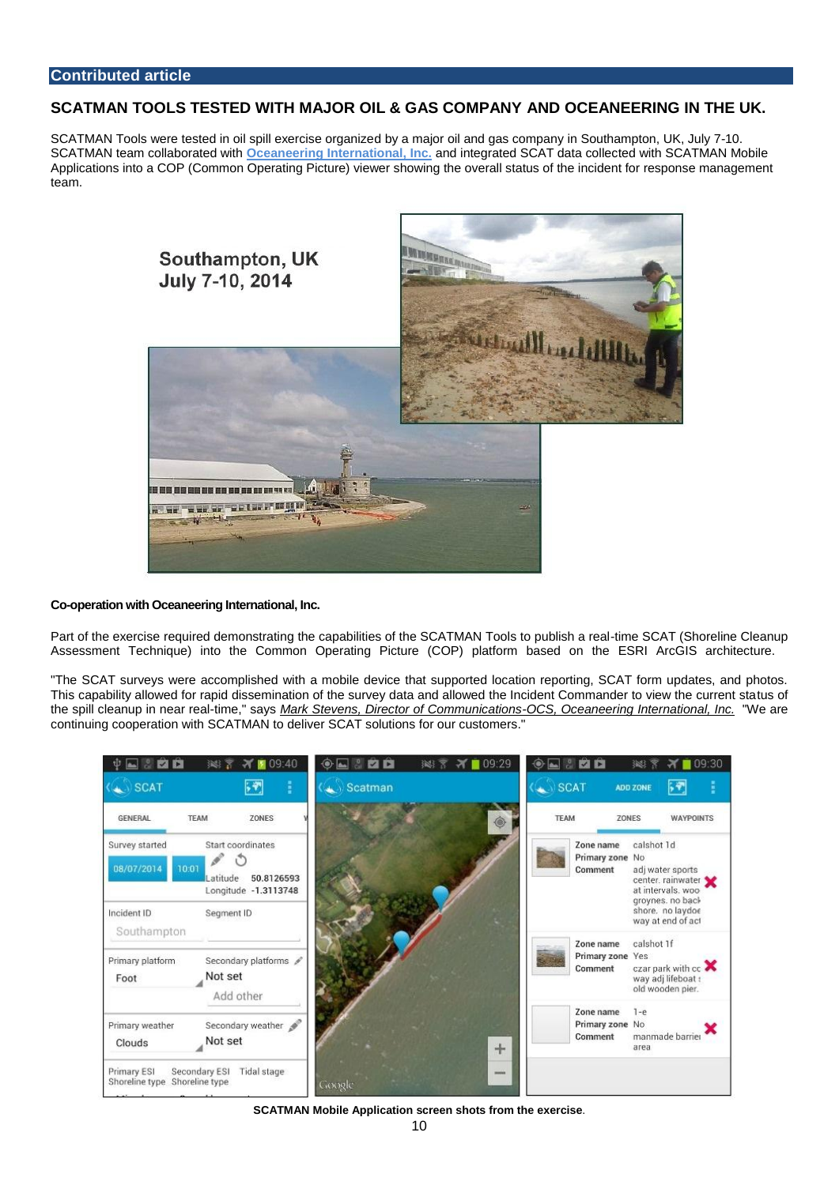## SCATMAN TOOLS TESTED WITH MAJOR OIL & GAS COMPANY AND OCEANEERING IN THE UK.

SCATMAN Tools were tested in oil spill exercise organized by a major oil and gas company in Southampton, UK, July 7-10. SCATMAN team collaborated with [Oceaneering International, Inc.](http://scatman.us3.list-manage2.com/track/click?u=b2cb5863a5fe69138320e7166&id=9cb51cc12c&e=952e7dcfe2) and integrated SCAT data collected with SCATMAN Mobile Applications into a COP (Common Operating Picture) viewer showing the overall status of the incident for response management team.

Co-operation with Oceaneering International, Inc.

Part of the exercise required demonstrating the capabilities of the SCATMAN Tools to publish a real-time SCAT (Shoreline Cleanup Assessment Technique) into the Common Operating Picture (COP) platform based on the ESRI ArcGIS architecture.

"The SCAT surveys were accomplished with a mobile device that supported location reporting, SCAT form updates, and photos. This capability allowed for rapid dissemination of the survey data and allowed the Incident Commander to view the current status of the spill cleanup in near real-time," says Mark Stevens, Director of Communications-OCS, Oceaneering International, Inc. "We are continuing cooperation with SCATMAN to deliver SCAT solutions for our customers."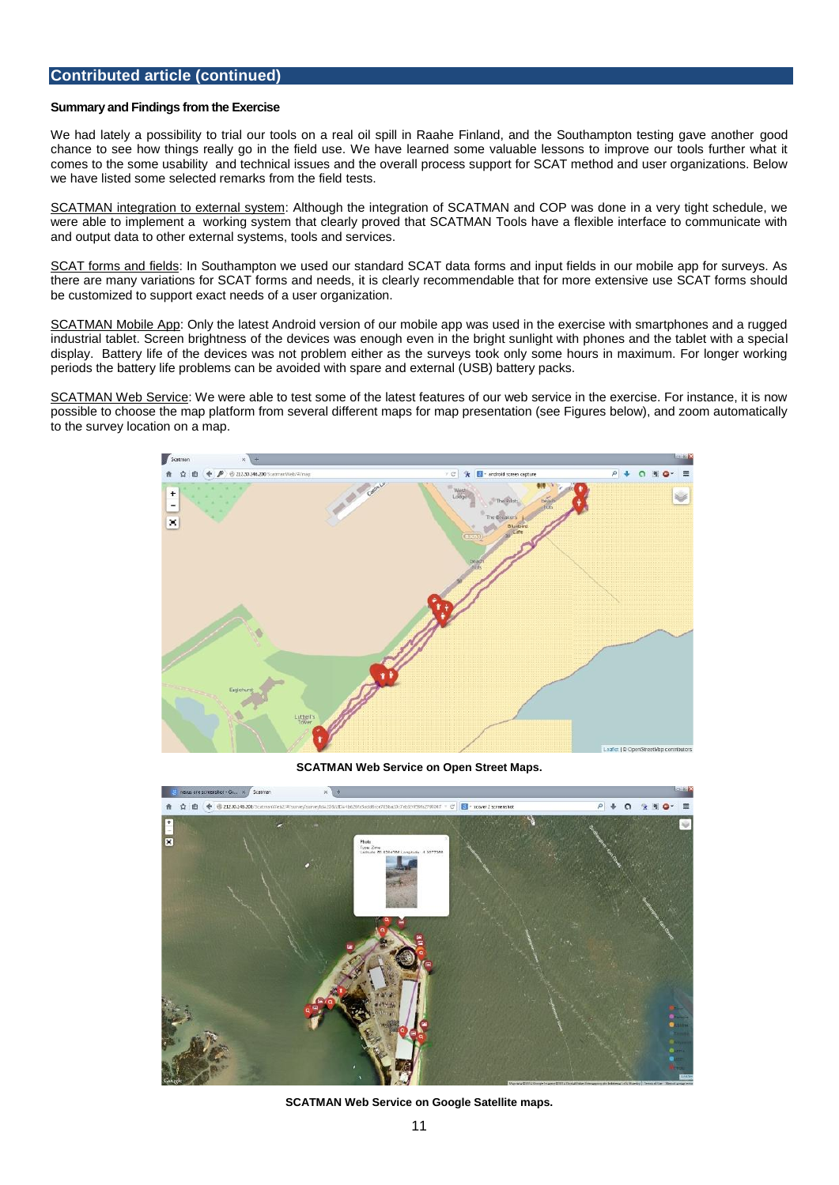## Contributed article (continued)

#### Summary and Findings from the Exercise

We had lately a possibility to trial our tools on a real oil spill in Raahe Finland, and the Southampton testing gave another good chance to see how things really go in the field use. We have learned some valuable lessons to improve our tools further what it comes to the some usability and technical issues and the overall process support for SCAT method and user organizations. Below we have listed some selected remarks from the field tests.

SCATMAN integration to external system: Although the integration of SCATMAN and COP was done in a very tight schedule, we were able to implement a working system that clearly proved that SCATMAN Tools have a flexible interface to communicate with and output data to other external systems, tools and services.

SCAT forms and fields: In Southampton we used our standard SCAT data forms and input fields in our mobile app for surveys. As there are many variations for SCAT forms and needs, it is clearly recommendable that for more extensive use SCAT forms should be customized to support exact needs of a user organization.

SCATMAN Mobile App: Only the latest Android version of our mobile app was used in the exercise with smartphones and a rugged industrial tablet. Screen brightness of the devices was enough even in the bright sunlight with phones and the tablet with a special display. Battery life of the devices was not problem either as the surveys took only some hours in maximum. For longer working periods the battery life problems can be avoided with spare and external (USB) battery packs.

SCATMAN Web Service: We were able to test some of the latest features of our web service in the exercise. For instance, it is now possible to choose the map platform from several different maps for map presentation (see Figures below), and zoom automatically to the survey location on a map.

SCATMAN Web Service on Open Street Maps.

SCATMAN Web Service on Google Satellite maps.